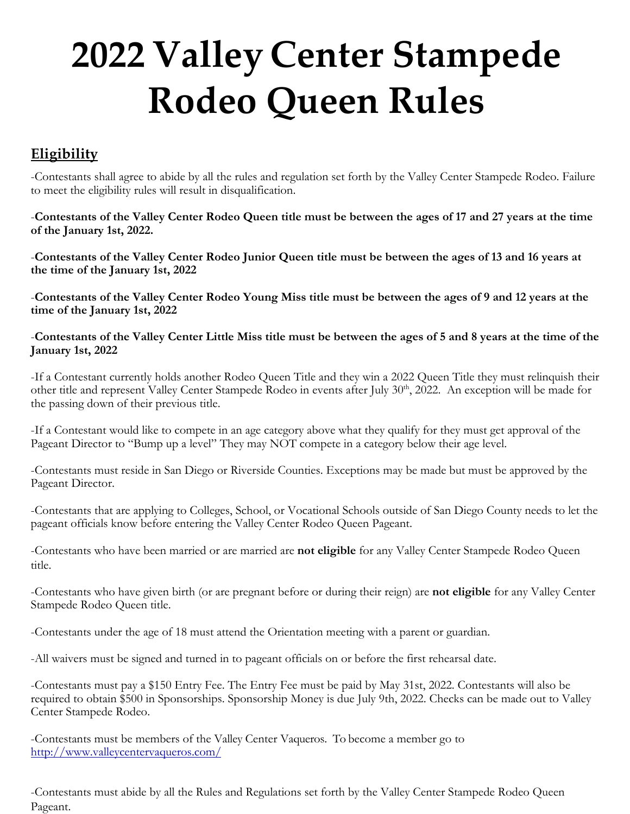# **2022 Valley Center Stampede Rodeo Queen Rules**

## **Eligibility**

-Contestants shall agree to abide by all the rules and regulation set forth by the Valley Center Stampede Rodeo. Failure to meet the eligibility rules will result in disqualification.

-**Contestants of the Valley Center Rodeo Queen title must be between the ages of 17 and 27 years at the time of the January 1st, 2022.**

-**Contestants of the Valley Center Rodeo Junior Queen title must be between the ages of 13 and 16 years at the time of the January 1st, 2022**

-**Contestants of the Valley Center Rodeo Young Miss title must be between the ages of 9 and 12 years at the time of the January 1st, 2022**

-**Contestants of the Valley Center Little Miss title must be between the ages of 5 and 8 years at the time of the January 1st, 2022**

-If a Contestant currently holds another Rodeo Queen Title and they win a 2022 Queen Title they must relinquish their other title and represent Valley Center Stampede Rodeo in events after July 30<sup>th</sup>, 2022. An exception will be made for the passing down of their previous title.

-If a Contestant would like to compete in an age category above what they qualify for they must get approval of the Pageant Director to "Bump up a level" They may NOT compete in a category below their age level.

-Contestants must reside in San Diego or Riverside Counties. Exceptions may be made but must be approved by the Pageant Director.

-Contestants that are applying to Colleges, School, or Vocational Schools outside of San Diego County needs to let the pageant officials know before entering the Valley Center Rodeo Queen Pageant.

-Contestants who have been married or are married are **not eligible** for any Valley Center Stampede Rodeo Queen title.

-Contestants who have given birth (or are pregnant before or during their reign) are **not eligible** for any Valley Center Stampede Rodeo Queen title.

-Contestants under the age of 18 must attend the Orientation meeting with a parent or guardian.

-All waivers must be signed and turned in to pageant officials on or before the first rehearsal date.

-Contestants must pay a \$150 Entry Fee. The Entry Fee must be paid by May 31st, 2022. Contestants will also be required to obtain \$500 in Sponsorships. Sponsorship Money is due July 9th, 2022. Checks can be made out to Valley Center Stampede Rodeo.

-Contestants must be members of the Valley Center Vaqueros. To become a member go to <http://www.valleycentervaqueros.com/>

-Contestants must abide by all the Rules and Regulations set forth by the Valley Center Stampede Rodeo Queen Pageant.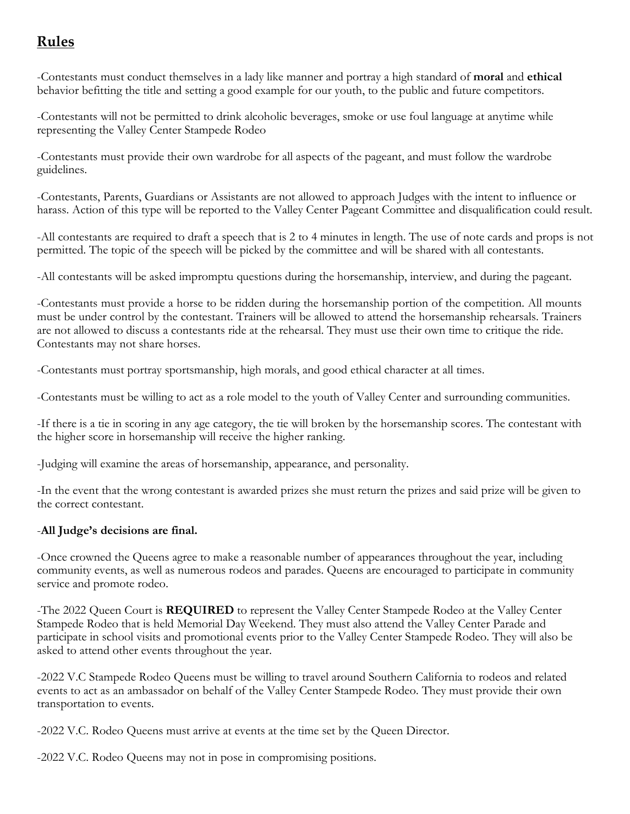## **Rules**

-Contestants must conduct themselves in a lady like manner and portray a high standard of **moral** and **ethical** behavior befitting the title and setting a good example for our youth, to the public and future competitors.

-Contestants will not be permitted to drink alcoholic beverages, smoke or use foul language at anytime while representing the Valley Center Stampede Rodeo

-Contestants must provide their own wardrobe for all aspects of the pageant, and must follow the wardrobe guidelines.

-Contestants, Parents, Guardians or Assistants are not allowed to approach Judges with the intent to influence or harass. Action of this type will be reported to the Valley Center Pageant Committee and disqualification could result.

-All contestants are required to draft a speech that is 2 to 4 minutes in length. The use of note cards and props is not permitted. The topic of the speech will be picked by the committee and will be shared with all contestants.

-All contestants will be asked impromptu questions during the horsemanship, interview, and during the pageant.

-Contestants must provide a horse to be ridden during the horsemanship portion of the competition. All mounts must be under control by the contestant. Trainers will be allowed to attend the horsemanship rehearsals. Trainers are not allowed to discuss a contestants ride at the rehearsal. They must use their own time to critique the ride. Contestants may not share horses.

-Contestants must portray sportsmanship, high morals, and good ethical character at all times.

-Contestants must be willing to act as a role model to the youth of Valley Center and surrounding communities.

-If there is a tie in scoring in any age category, the tie will broken by the horsemanship scores. The contestant with the higher score in horsemanship will receive the higher ranking.

-Judging will examine the areas of horsemanship, appearance, and personality.

-In the event that the wrong contestant is awarded prizes she must return the prizes and said prize will be given to the correct contestant.

#### -**All Judge's decisions are final.**

-Once crowned the Queens agree to make a reasonable number of appearances throughout the year, including community events, as well as numerous rodeos and parades. Queens are encouraged to participate in community service and promote rodeo.

-The 2022 Queen Court is **REQUIRED** to represent the Valley Center Stampede Rodeo at the Valley Center Stampede Rodeo that is held Memorial Day Weekend. They must also attend the Valley Center Parade and participate in school visits and promotional events prior to the Valley Center Stampede Rodeo. They will also be asked to attend other events throughout the year.

-2022 V.C Stampede Rodeo Queens must be willing to travel around Southern California to rodeos and related events to act as an ambassador on behalf of the Valley Center Stampede Rodeo. They must provide their own transportation to events.

-2022 V.C. Rodeo Queens must arrive at events at the time set by the Queen Director.

-2022 V.C. Rodeo Queens may not in pose in compromising positions.